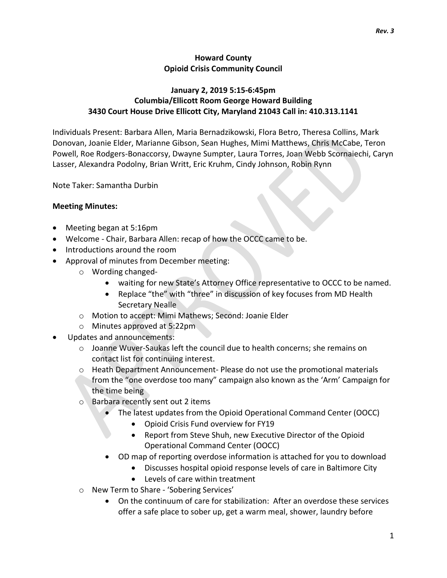### Howard County Opioid Crisis Community Council

## January 2, 2019 5:15-6:45pm Columbia/Ellicott Room George Howard Building 3430 Court House Drive Ellicott City, Maryland 21043 Call in: 410.313.1141

Individuals Present: Barbara Allen, Maria Bernadzikowski, Flora Betro, Theresa Collins, Mark Donovan, Joanie Elder, Marianne Gibson, Sean Hughes, Mimi Matthews, Chris McCabe, Teron Powell, Roe Rodgers-Bonaccorsy, Dwayne Sumpter, Laura Torres, Joan Webb Scornaiechi, Caryn Lasser, Alexandra Podolny, Brian Writt, Eric Kruhm, Cindy Johnson, Robin Rynn

Note Taker: Samantha Durbin

#### Meeting Minutes:

- Meeting began at 5:16pm
- Welcome Chair, Barbara Allen: recap of how the OCCC came to be.
- Introductions around the room
- Approval of minutes from December meeting:
	- o Wording changed
		- waiting for new State's Attorney Office representative to OCCC to be named.
		- Replace "the" with "three" in discussion of key focuses from MD Health Secretary Nealle
	- o Motion to accept: Mimi Mathews; Second: Joanie Elder
	- o Minutes approved at 5:22pm
- Updates and announcements:
	- o Joanne Wuver-Saukas left the council due to health concerns; she remains on contact list for continuing interest.
	- $\circ$  Heath Department Announcement-Please do not use the promotional materials from the "one overdose too many" campaign also known as the 'Arm' Campaign for the time being
	- o Barbara recently sent out 2 items
		- The latest updates from the Opioid Operational Command Center (OOCC)
			- Opioid Crisis Fund overview for FY19
			- Report from Steve Shuh, new Executive Director of the Opioid Operational Command Center (OOCC)
		- OD map of reporting overdose information is attached for you to download
			- Discusses hospital opioid response levels of care in Baltimore City
			- Levels of care within treatment
	- o New Term to Share 'Sobering Services'
		- On the continuum of care for stabilization: After an overdose these services offer a safe place to sober up, get a warm meal, shower, laundry before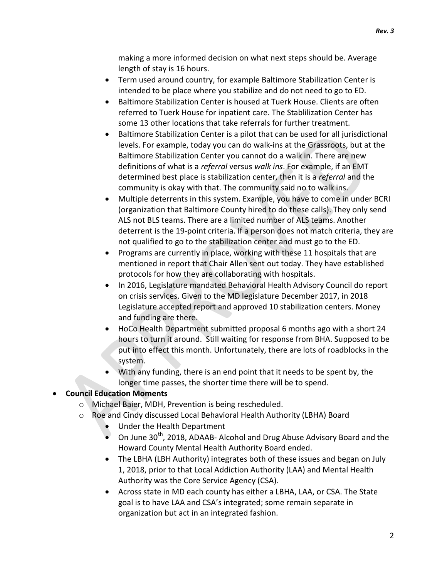making a more informed decision on what next steps should be. Average length of stay is 16 hours.

- Term used around country, for example Baltimore Stabilization Center is intended to be place where you stabilize and do not need to go to ED.
- Baltimore Stabilization Center is housed at Tuerk House. Clients are often referred to Tuerk House for inpatient care. The Stablilization Center has some 13 other locations that take referrals for further treatment.
- Baltimore Stabilization Center is a pilot that can be used for all jurisdictional levels. For example, today you can do walk-ins at the Grassroots, but at the Baltimore Stabilization Center you cannot do a walk in. There are new definitions of what is a referral versus walk ins. For example, if an EMT determined best place is stabilization center, then it is a referral and the community is okay with that. The community said no to walk ins.
- Multiple deterrents in this system. Example, you have to come in under BCRI (organization that Baltimore County hired to do these calls). They only send ALS not BLS teams. There are a limited number of ALS teams. Another deterrent is the 19-point criteria. If a person does not match criteria, they are not qualified to go to the stabilization center and must go to the ED.
- Programs are currently in place, working with these 11 hospitals that are mentioned in report that Chair Allen sent out today. They have established protocols for how they are collaborating with hospitals.
- In 2016, Legislature mandated Behavioral Health Advisory Council do report on crisis services. Given to the MD legislature December 2017, in 2018 Legislature accepted report and approved 10 stabilization centers. Money and funding are there.
- HoCo Health Department submitted proposal 6 months ago with a short 24 hours to turn it around. Still waiting for response from BHA. Supposed to be put into effect this month. Unfortunately, there are lots of roadblocks in the system.
- With any funding, there is an end point that it needs to be spent by, the longer time passes, the shorter time there will be to spend.

# Council Education Moments

- o Michael Baier, MDH, Prevention is being rescheduled.
- o Roe and Cindy discussed Local Behavioral Health Authority (LBHA) Board
	- Under the Health Department
	- On June 30<sup>th</sup>, 2018, ADAAB- Alcohol and Drug Abuse Advisory Board and the Howard County Mental Health Authority Board ended.
	- The LBHA (LBH Authority) integrates both of these issues and began on July 1, 2018, prior to that Local Addiction Authority (LAA) and Mental Health Authority was the Core Service Agency (CSA).
	- Across state in MD each county has either a LBHA, LAA, or CSA. The State goal is to have LAA and CSA's integrated; some remain separate in organization but act in an integrated fashion.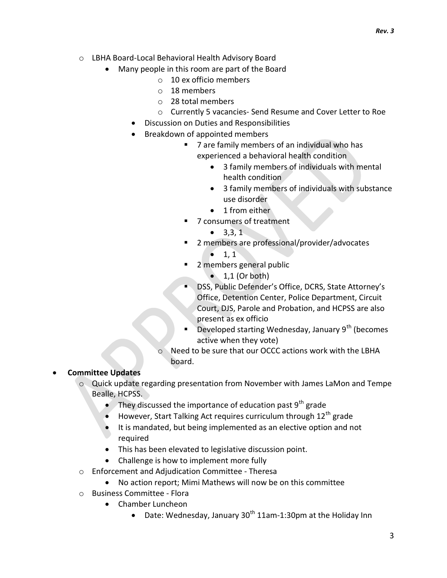- o LBHA Board-Local Behavioral Health Advisory Board
	- Many people in this room are part of the Board
		- o 10 ex officio members
		- o 18 members
		- o 28 total members
		- o Currently 5 vacancies- Send Resume and Cover Letter to Roe
		- Discussion on Duties and Responsibilities
		- Breakdown of appointed members
			- 7 are family members of an individual who has experienced a behavioral health condition
				- 3 family members of individuals with mental health condition
				- 3 family members of individuals with substance use disorder
				- 1 from either
			- 7 consumers of treatment
				- $\bullet$  3,3,1
			- 2 members are professional/provider/advocates
				- $-1, 1$
			- 2 members general public
				- $\bullet$  1,1 (Or both)
			- DSS, Public Defender's Office, DCRS, State Attorney's Office, Detention Center, Police Department, Circuit Court, DJS, Parole and Probation, and HCPSS are also present as ex officio
			- Developed starting Wednesday, January 9<sup>th</sup> (becomes active when they vote)
			- o Need to be sure that our OCCC actions work with the LBHA board.

#### Committee Updates

- o Quick update regarding presentation from November with James LaMon and Tempe Bealle, HCPSS.
	- They discussed the importance of education past  $9<sup>th</sup>$  grade
	- However, Start Talking Act requires curriculum through 12<sup>th</sup> grade
	- It is mandated, but being implemented as an elective option and not required
	- This has been elevated to legislative discussion point.
	- Challenge is how to implement more fully
- o Enforcement and Adjudication Committee Theresa
	- No action report; Mimi Mathews will now be on this committee
- o Business Committee Flora
	- Chamber Luncheon
		- Date: Wednesday, January  $30<sup>th</sup> 11$ am-1:30pm at the Holiday Inn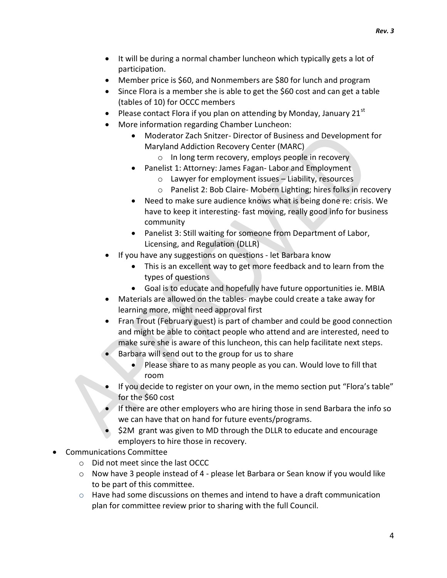- It will be during a normal chamber luncheon which typically gets a lot of participation.
- Member price is \$60, and Nonmembers are \$80 for lunch and program
- Since Flora is a member she is able to get the \$60 cost and can get a table (tables of 10) for OCCC members
- Please contact Flora if you plan on attending by Monday, January 21st
- More information regarding Chamber Luncheon:
	- Moderator Zach Snitzer- Director of Business and Development for Maryland Addiction Recovery Center (MARC)
		- o In long term recovery, employs people in recovery
	- Panelist 1: Attorney: James Fagan- Labor and Employment
		- o Lawyer for employment issues Liability, resources
		- o Panelist 2: Bob Claire- Mobern Lighting; hires folks in recovery
	- Need to make sure audience knows what is being done re: crisis. We have to keep it interesting- fast moving, really good info for business community
	- Panelist 3: Still waiting for someone from Department of Labor, Licensing, and Regulation (DLLR)
- If you have any suggestions on questions let Barbara know
	- This is an excellent way to get more feedback and to learn from the types of questions
	- Goal is to educate and hopefully have future opportunities ie. MBIA
- Materials are allowed on the tables- maybe could create a take away for learning more, might need approval first
- Fran Trout (February guest) is part of chamber and could be good connection and might be able to contact people who attend and are interested, need to make sure she is aware of this luncheon, this can help facilitate next steps.
- Barbara will send out to the group for us to share
	- Please share to as many people as you can. Would love to fill that room
- If you decide to register on your own, in the memo section put "Flora's table" for the \$60 cost
- If there are other employers who are hiring those in send Barbara the info so we can have that on hand for future events/programs.
- \$2M grant was given to MD through the DLLR to educate and encourage employers to hire those in recovery.
- Communications Committee
	- o Did not meet since the last OCCC
	- o Now have 3 people instead of 4 please let Barbara or Sean know if you would like to be part of this committee.
	- $\circ$  Have had some discussions on themes and intend to have a draft communication plan for committee review prior to sharing with the full Council.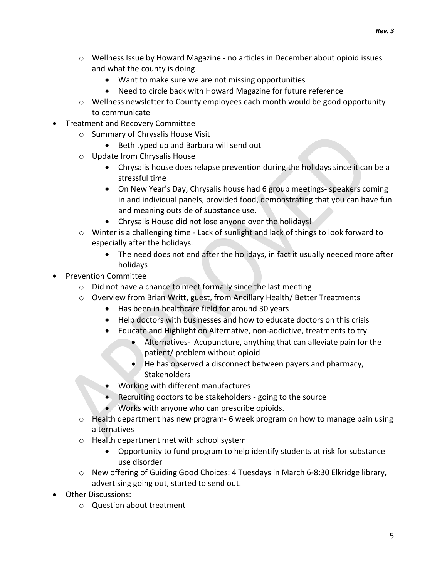Rev. 3

- o Wellness Issue by Howard Magazine no articles in December about opioid issues and what the county is doing
	- Want to make sure we are not missing opportunities
	- Need to circle back with Howard Magazine for future reference
- $\circ$  Wellness newsletter to County employees each month would be good opportunity to communicate
- Treatment and Recovery Committee
	- o Summary of Chrysalis House Visit
		- Beth typed up and Barbara will send out
	- o Update from Chrysalis House
		- Chrysalis house does relapse prevention during the holidays since it can be a stressful time
		- On New Year's Day, Chrysalis house had 6 group meetings- speakers coming in and individual panels, provided food, demonstrating that you can have fun and meaning outside of substance use.
		- Chrysalis House did not lose anyone over the holidays!
	- o Winter is a challenging time Lack of sunlight and lack of things to look forward to especially after the holidays.
		- The need does not end after the holidays, in fact it usually needed more after holidays
- Prevention Committee
	- o Did not have a chance to meet formally since the last meeting
	- o Overview from Brian Writt, guest, from Ancillary Health/ Better Treatments
		- Has been in healthcare field for around 30 years
		- Help doctors with businesses and how to educate doctors on this crisis
		- Educate and Highlight on Alternative, non-addictive, treatments to try.
			- Alternatives- Acupuncture, anything that can alleviate pain for the patient/ problem without opioid
			- He has observed a disconnect between payers and pharmacy, Stakeholders
		- Working with different manufactures
		- Recruiting doctors to be stakeholders going to the source
		- Works with anyone who can prescribe opioids.
	- o Health department has new program- 6 week program on how to manage pain using alternatives
	- o Health department met with school system
		- Opportunity to fund program to help identify students at risk for substance use disorder
	- o New offering of Guiding Good Choices: 4 Tuesdays in March 6-8:30 Elkridge library, advertising going out, started to send out.
- Other Discussions:
	- o Question about treatment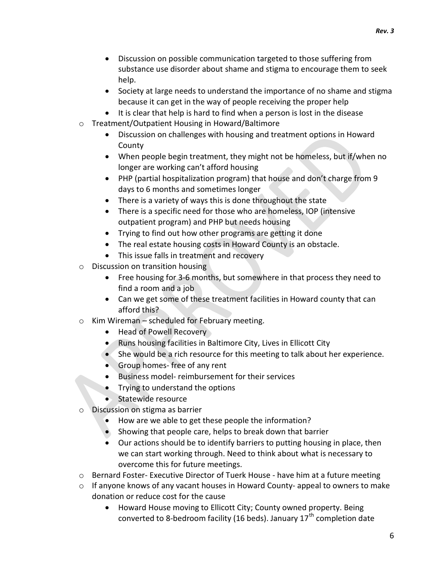- Discussion on possible communication targeted to those suffering from substance use disorder about shame and stigma to encourage them to seek help.
- Society at large needs to understand the importance of no shame and stigma because it can get in the way of people receiving the proper help
- It is clear that help is hard to find when a person is lost in the disease
- o Treatment/Outpatient Housing in Howard/Baltimore
	- Discussion on challenges with housing and treatment options in Howard County
	- When people begin treatment, they might not be homeless, but if/when no longer are working can't afford housing
	- PHP (partial hospitalization program) that house and don't charge from 9 days to 6 months and sometimes longer
	- There is a variety of ways this is done throughout the state
	- There is a specific need for those who are homeless, IOP (intensive outpatient program) and PHP but needs housing
	- Trying to find out how other programs are getting it done
	- The real estate housing costs in Howard County is an obstacle.
	- This issue falls in treatment and recovery
- o Discussion on transition housing
	- Free housing for 3-6 months, but somewhere in that process they need to find a room and a job
	- Can we get some of these treatment facilities in Howard county that can afford this?
- o Kim Wireman scheduled for February meeting.
	- Head of Powell Recovery
	- Runs housing facilities in Baltimore City, Lives in Ellicott City
	- She would be a rich resource for this meeting to talk about her experience.
	- Group homes- free of any rent
	- Business model- reimbursement for their services
	- Trying to understand the options
	- Statewide resource
- o Discussion on stigma as barrier
	- How are we able to get these people the information?
	- Showing that people care, helps to break down that barrier
	- Our actions should be to identify barriers to putting housing in place, then we can start working through. Need to think about what is necessary to overcome this for future meetings.
- $\circ$  Bernard Foster- Executive Director of Tuerk House have him at a future meeting
- $\circ$  If anyone knows of any vacant houses in Howard County- appeal to owners to make donation or reduce cost for the cause
	- Howard House moving to Ellicott City; County owned property. Being converted to 8-bedroom facility (16 beds). January  $17<sup>th</sup>$  completion date